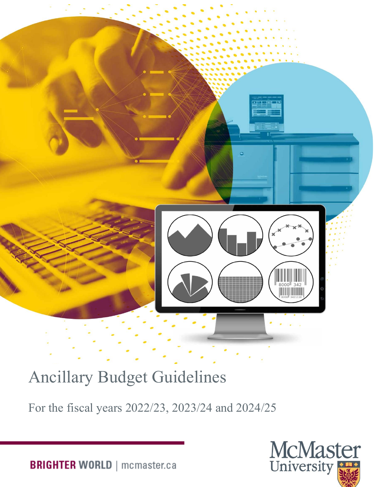

# Ancillary Budget Guidelines

For the fiscal years 2022/23, 2023/24 and 2024/25



**BRIGHTER WORLD** | mcmaster.ca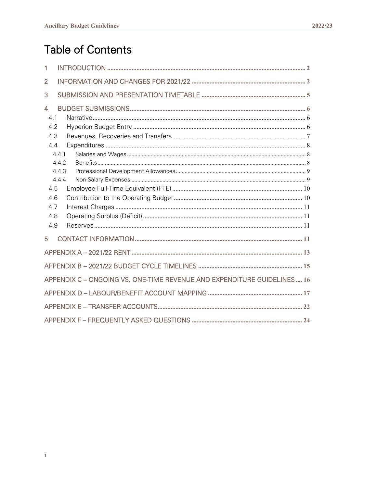## **Table of Contents**

| 1              |                                                                         |
|----------------|-------------------------------------------------------------------------|
| $\overline{2}$ |                                                                         |
| 3              |                                                                         |
| $\overline{4}$ |                                                                         |
| 4.1            |                                                                         |
| 4.2            |                                                                         |
| 4.3            |                                                                         |
| 4.4            |                                                                         |
|                | 4.4.1                                                                   |
|                | 4.4.2                                                                   |
|                | 4.4.3<br>4.4.4                                                          |
| 4.5            |                                                                         |
| 4.6            |                                                                         |
| 4.7            |                                                                         |
| 4.8            |                                                                         |
| 4.9            |                                                                         |
|                |                                                                         |
| 5              |                                                                         |
|                |                                                                         |
|                |                                                                         |
|                | APPENDIX C - ONGOING VS. ONE-TIME REVENUE AND EXPENDITURE GUIDELINES 16 |
|                |                                                                         |
|                |                                                                         |
|                |                                                                         |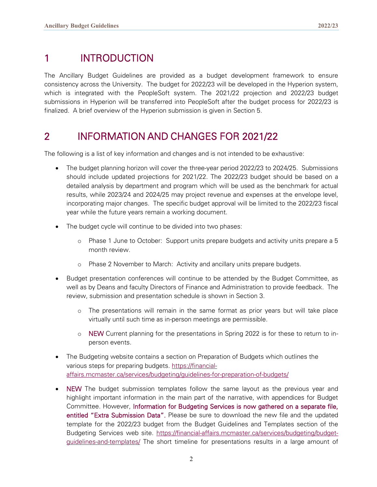## <span id="page-2-0"></span>1 INTRODUCTION

The Ancillary Budget Guidelines are provided as a budget development framework to ensure consistency across the University. The budget for 2022/23 will be developed in the Hyperion system, which is integrated with the PeopleSoft system. The 2021/22 projection and 2022/23 budget submissions in Hyperion will be transferred into PeopleSoft after the budget process for 2022/23 is finalized. A brief overview of the Hyperion submission is given in Section 5.

## <span id="page-2-1"></span>2 INFORMATION AND CHANGES FOR 2021/22

The following is a list of key information and changes and is not intended to be exhaustive:

- The budget planning horizon will cover the three-year period 2022/23 to 2024/25. Submissions should include updated projections for 2021/22. The 2022/23 budget should be based on a detailed analysis by department and program which will be used as the benchmark for actual results, while 2023/24 and 2024/25 may project revenue and expenses at the envelope level, incorporating major changes. The specific budget approval will be limited to the 2022/23 fiscal year while the future years remain a working document.
- The budget cycle will continue to be divided into two phases:
	- o Phase 1 June to October: Support units prepare budgets and activity units prepare a 5 month review.
	- o Phase 2 November to March: Activity and ancillary units prepare budgets.
- Budget presentation conferences will continue to be attended by the Budget Committee, as well as by Deans and faculty Directors of Finance and Administration to provide feedback. The review, submission and presentation schedule is shown in Section 3.
	- o The presentations will remain in the same format as prior years but will take place virtually until such time as in-person meetings are permissible.
	- $\circ$  NEW Current planning for the presentations in Spring 2022 is for these to return to inperson events.
- The Budgeting website contains a section on Preparation of Budgets which outlines the various steps for preparing budgets. [https://financial](https://financial-affairs.mcmaster.ca/services/budgeting/guidelines-for-preparation-of-budgets/)[affairs.mcmaster.ca/services/budgeting/guidelines-for-preparation-of-budgets/](https://financial-affairs.mcmaster.ca/services/budgeting/guidelines-for-preparation-of-budgets/)
- NEW The budget submission templates follow the same layout as the previous year and highlight important information in the main part of the narrative, with appendices for Budget Committee. However, Information for Budgeting Services is now gathered on a separate file, entitled "Extra Submission Data". Please be sure to download the new file and the updated template for the 2022/23 budget from the Budget Guidelines and Templates section of the Budgeting Services web site. [https://financial-affairs.mcmaster.ca/services/budgeting/budget](https://financial-affairs.mcmaster.ca/services/budgeting/budget-guidelines-and-templates/)[guidelines-and-templates/](https://financial-affairs.mcmaster.ca/services/budgeting/budget-guidelines-and-templates/) The short timeline for presentations results in a large amount of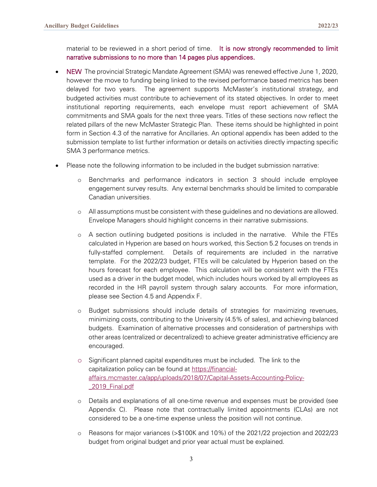material to be reviewed in a short period of time. It is now strongly recommended to limit narrative submissions to no more than 14 pages plus appendices.

- NEW The provincial Strategic Mandate Agreement (SMA) was renewed effective June 1, 2020, however the move to funding being linked to the revised performance based metrics has been delayed for two years. The agreement supports McMaster's institutional strategy, and budgeted activities must contribute to achievement of its stated objectives. In order to meet institutional reporting requirements, each envelope must report achievement of SMA commitments and SMA goals for the next three years. Titles of these sections now reflect the related pillars of the new McMaster Strategic Plan. These items should be highlighted in point form in Section 4.3 of the narrative for Ancillaries. An optional appendix has been added to the submission template to list further information or details on activities directly impacting specific SMA 3 performance metrics.
- Please note the following information to be included in the budget submission narrative:
	- Benchmarks and performance indicators in section 3 should include employee engagement survey results. Any external benchmarks should be limited to comparable Canadian universities.
	- o All assumptions must be consistent with these guidelines and no deviations are allowed. Envelope Managers should highlight concerns in their narrative submissions.
	- o A section outlining budgeted positions is included in the narrative. While the FTEs calculated in Hyperion are based on hours worked, this Section 5.2 focuses on trends in fully-staffed complement. Details of requirements are included in the narrative template. For the 2022/23 budget, FTEs will be calculated by Hyperion based on the hours forecast for each employee. This calculation will be consistent with the FTEs used as a driver in the budget model, which includes hours worked by all employees as recorded in the HR payroll system through salary accounts. For more information, please see Section 4.5 and Appendix F.
	- o Budget submissions should include details of strategies for maximizing revenues, minimizing costs, contributing to the University (4.5% of sales), and achieving balanced budgets. Examination of alternative processes and consideration of partnerships with other areas (centralized or decentralized) to achieve greater administrative efficiency are encouraged.
	- o Significant planned capital expenditures must be included. The link to the capitalization policy can be found at [https://financial](https://financial-affairs.mcmaster.ca/app/uploads/2018/07/Capital-Assets-Accounting-Policy-_2019_Final.pdf)[affairs.mcmaster.ca/app/uploads/2018/07/Capital-Assets-Accounting-Policy-](https://financial-affairs.mcmaster.ca/app/uploads/2018/07/Capital-Assets-Accounting-Policy-_2019_Final.pdf) [\\_2019\\_Final.pdf](https://financial-affairs.mcmaster.ca/app/uploads/2018/07/Capital-Assets-Accounting-Policy-_2019_Final.pdf)
	- o Details and explanations of all one-time revenue and expenses must be provided (see Appendix C). Please note that contractually limited appointments (CLAs) are not considered to be a one-time expense unless the position will not continue.
	- o Reasons for major variances (>\$100K and 10%) of the 2021/22 projection and 2022/23 budget from original budget and prior year actual must be explained.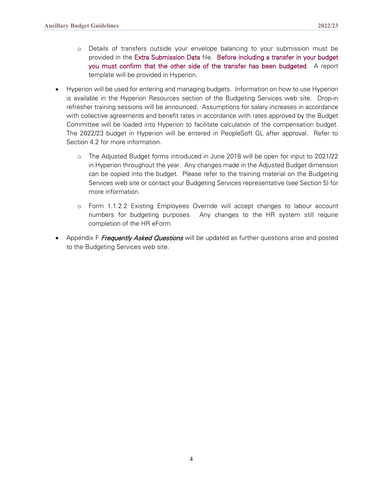- o Details of transfers outside your envelope balancing to your submission must be provided in the Extra Submission Data file. Before including a transfer in your budget you must confirm that the other side of the transfer has been budgeted. A report template will be provided in Hyperion.
- Hyperion will be used for entering and managing budgets. Information on how to use Hyperion is available in the Hyperion Resources section of the Budgeting Services web site. Drop-in refresher training sessions will be announced. Assumptions for salary increases in accordance with collective agreements and benefit rates in accordance with rates approved by the Budget Committee will be loaded into Hyperion to facilitate calculation of the compensation budget. The 2022/23 budget in Hyperion will be entered in PeopleSoft GL after approval. Refer to Section 4.2 for more information.
	- o The Adjusted Budget forms introduced in June 2018 will be open for input to 2021/22 in Hyperion throughout the year. Any changes made in the Adjusted Budget dimension can be copied into the budget. Please refer to the training material on the Budgeting Services web site or contact your Budgeting Services representative (see Section 5) for more information.
	- o Form 1.1.2.2 Existing Employees Override will accept changes to labour account numbers for budgeting purposes. Any changes to the HR system still require completion of the HR eForm.
- Appendix F *Frequently Asked Questions* will be updated as further questions arise and posted to the Budgeting Services web site.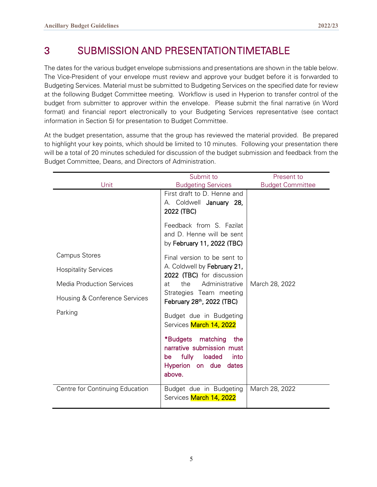## <span id="page-5-0"></span>3 SUBMISSION AND PRESENTATION TIMETABLE

The dates for the various budget envelope submissions and presentations are shown in the table below. The Vice-President of your envelope must review and approve your budget before it is forwarded to Budgeting Services. Material must be submitted to Budgeting Services on the specified date for review at the following Budget Committee meeting. Workflow is used in Hyperion to transfer control of the budget from submitter to approver within the envelope. Please submit the final narrative (in Word format) and financial report electronically to your Budgeting Services representative (see contact information in Section 5) for presentation to Budget Committee.

At the budget presentation, assume that the group has reviewed the material provided. Be prepared to highlight your key points, which should be limited to 10 minutes. Following your presentation there will be a total of 20 minutes scheduled for discussion of the budget submission and feedback from the Budget Committee, Deans, and Directors of Administration.

|                                  | Submit to                                                                                                                 | Present to              |
|----------------------------------|---------------------------------------------------------------------------------------------------------------------------|-------------------------|
| Unit                             | <b>Budgeting Services</b>                                                                                                 | <b>Budget Committee</b> |
|                                  | First draft to D. Henne and<br>A. Coldwell January 28,<br>2022 (TBC)                                                      |                         |
|                                  | Feedback from S. Fazilat<br>and D. Henne will be sent<br>by February 11, 2022 (TBC)                                       |                         |
| <b>Campus Stores</b>             | Final version to be sent to                                                                                               |                         |
| <b>Hospitality Services</b>      | A. Coldwell by February 21,<br>2022 (TBC) for discussion                                                                  |                         |
| <b>Media Production Services</b> | the<br>Administrative<br>at                                                                                               | March 28, 2022          |
| Housing & Conference Services    | Strategies Team meeting<br>February 28th, 2022 (TBC)                                                                      |                         |
| Parking                          | Budget due in Budgeting<br>Services March 14, 2022                                                                        |                         |
|                                  | *Budgets matching<br>the<br>narrative submission must<br>fully<br>loaded<br>into<br>be<br>Hyperion on due dates<br>above. |                         |
| Centre for Continuing Education  | Budget due in Budgeting<br>Services March 14, 2022                                                                        | March 28, 2022          |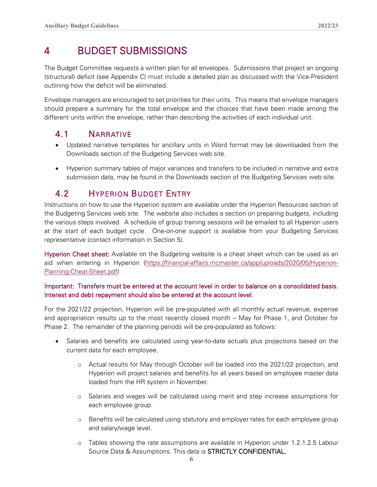## <span id="page-6-0"></span>4 BUDGET SUBMISSIONS

The Budget Committee requests a written plan for all envelopes. Submissions that project an ongoing (structural) deficit (see Appendix C) must include a detailed plan as discussed with the Vice-President outlining how the deficit will be eliminated.

Envelope managers are encouraged to set priorities for their units. This means that envelope managers should prepare a summary for the total envelope and the choices that have been made among the different units within the envelope, rather than describing the activities of each individual unit.

### <span id="page-6-1"></span>4.1 NARRATIVE

- Updated narrative templates for ancillary units in Word format may be downloaded from the Downloads section of the Budgeting Services web site.
- Hyperion summary tables of major variances and transfers to be included in narrative and extra submission data, may be found in the Downloads section of the Budgeting Services web site.

## <span id="page-6-2"></span>4.2 HYPERION BUDGET ENTRY

Instructions on how to use the Hyperion system are available under the Hyperion Resources section of the Budgeting Services web site. The website also includes a section on preparing budgets, including the various steps involved. A schedule of group training sessions will be emailed to all Hyperion users at the start of each budget cycle. One-on-one support is available from your Budgeting Services representative (contact information in Section 5).

Hyperion Cheat sheet: Available on the Budgeting website is a cheat sheet which can be used as an aid when entering in Hyperion [\(https://financial-affairs.mcmaster.ca/app/uploads/2020/05/Hyperion-](https://financial-affairs.mcmaster.ca/app/uploads/2020/05/Hyperion-Planning-Cheat-Sheet.pdf)[Planning-Cheat-Sheet.pdf\)](https://financial-affairs.mcmaster.ca/app/uploads/2020/05/Hyperion-Planning-Cheat-Sheet.pdf)

#### Important: Transfers must be entered at the account level in order to balance on a consolidated basis. Interest and debt repayment should also be entered at the account level.

For the 2021/22 projection, Hyperion will be pre-populated with all monthly actual revenue, expense and appropriation results up to the most recently closed month – May for Phase 1, and October for Phase 2. The remainder of the planning periods will be pre-populated as follows:

- Salaries and benefits are calculated using year-to-date actuals plus projections based on the current data for each employee.
	- o Actual results for May through October will be loaded into the 2021/22 projection, and Hyperion will project salaries and benefits for all years based on employee master data loaded from the HR system in November.
	- o Salaries and wages will be calculated using merit and step increase assumptions for each employee group.
	- o Benefits will be calculated using statutory and employer rates for each employee group and salary/wage level.
	- o Tables showing the rate assumptions are available in Hyperion under 1.2.1.2.5 Labour Source Data & Assumptions. This data is STRICTLY CONFIDENTIAL.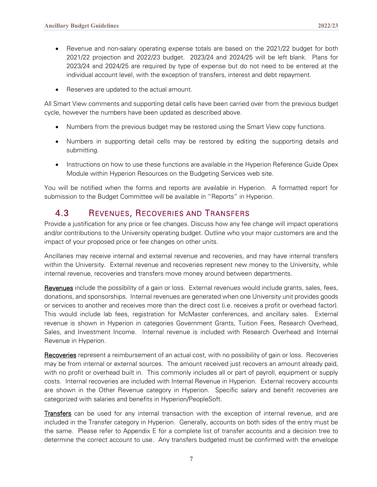- Revenue and non-salary operating expense totals are based on the 2021/22 budget for both 2021/22 projection and 2022/23 budget. 2023/24 and 2024/25 will be left blank. Plans for 2023/24 and 2024/25 are required by type of expense but do not need to be entered at the individual account level, with the exception of transfers, interest and debt repayment.
- Reserves are updated to the actual amount.

All Smart View comments and supporting detail cells have been carried over from the previous budget cycle, however the numbers have been updated as described above.

- Numbers from the previous budget may be restored using the Smart View copy functions.
- Numbers in supporting detail cells may be restored by editing the supporting details and submitting.
- Instructions on how to use these functions are available in the Hyperion Reference Guide Opex Module within Hyperion Resources on the Budgeting Services web site.

You will be notified when the forms and reports are available in Hyperion. A formatted report for submission to the Budget Committee will be available in "Reports" in Hyperion.

### <span id="page-7-0"></span>4.3 REVENUES, RECOVERIES AND TRANSFERS

Provide a justification for any price or fee changes. Discuss how any fee change will impact operations and/or contributions to the University operating budget. Outline who your major customers are and the impact of your proposed price or fee changes on other units.

Ancillaries may receive internal and external revenue and recoveries, and may have internal transfers within the University. External revenue and recoveries represent new money to the University, while internal revenue, recoveries and transfers move money around between departments.

Revenues include the possibility of a gain or loss. External revenues would include grants, sales, fees, donations, and sponsorships. Internal revenues are generated when one University unit provides goods or services to another and receives more than the direct cost (i.e. receives a profit or overhead factor). This would include lab fees, registration for McMaster conferences, and ancillary sales. External revenue is shown in Hyperion in categories Government Grants, Tuition Fees, Research Overhead, Sales, and Investment Income. Internal revenue is included with Research Overhead and Internal Revenue in Hyperion.

Recoveries represent a reimbursement of an actual cost, with no possibility of gain or loss. Recoveries may be from internal or external sources. The amount received just recovers an amount already paid, with no profit or overhead built in. This commonly includes all or part of payroll, equipment or supply costs. Internal recoveries are included with Internal Revenue in Hyperion. External recovery accounts are shown in the Other Revenue category in Hyperion. Specific salary and benefit recoveries are categorized with salaries and benefits in Hyperion/PeopleSoft.

**Transfers** can be used for any internal transaction with the exception of internal revenue, and are included in the Transfer category in Hyperion. Generally, accounts on both sides of the entry must be the same. Please refer to Appendix E for a complete list of transfer accounts and a decision tree to determine the correct account to use. Any transfers budgeted must be confirmed with the envelope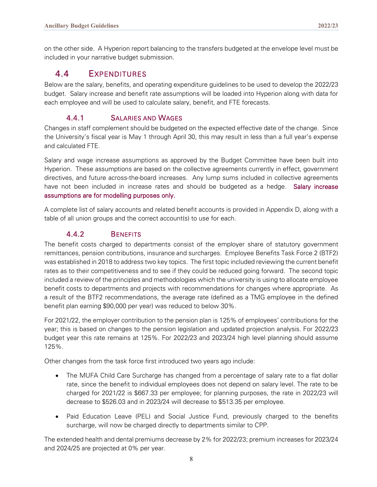on the other side. A Hyperion report balancing to the transfers budgeted at the envelope level must be included in your narrative budget submission.

### <span id="page-8-0"></span>4.4 EXPENDITURES

Below are the salary, benefits, and operating expenditure guidelines to be used to develop the 2022/23 budget. Salary increase and benefit rate assumptions will be loaded into Hyperion along with data for each employee and will be used to calculate salary, benefit, and FTE forecasts.

### 4.4.1 SALARIES AND WAGES

<span id="page-8-1"></span>Changes in staff complement should be budgeted on the expected effective date of the change. Since the University's fiscal year is May 1 through April 30, this may result in less than a full year's expense and calculated FTE.

Salary and wage increase assumptions as approved by the Budget Committee have been built into Hyperion. These assumptions are based on the collective agreements currently in effect, government directives, and future across-the-board increases. Any lump sums included in collective agreements have not been included in increase rates and should be budgeted as a hedge. Salary increase assumptions are for modelling purposes only.

A complete list of salary accounts and related benefit accounts is provided in Appendix D, along with a table of all union groups and the correct account(s) to use for each.

### 4.4.2 BENEFITS

<span id="page-8-2"></span>The benefit costs charged to departments consist of the employer share of statutory government remittances, pension contributions, insurance and surcharges. Employee Benefits Task Force 2 (BTF2) was established in 2018 to address two key topics. The first topic included reviewing the current benefit rates as to their competitiveness and to see if they could be reduced going forward. The second topic included a review of the principles and methodologies which the university is using to allocate employee benefit costs to departments and projects with recommendations for changes where appropriate. As a result of the BTF2 recommendations, the average rate (defined as a TMG employee in the defined benefit plan earning \$90,000 per year) was reduced to below 30%.

For 2021/22, the employer contribution to the pension plan is 125% of employees' contributions for the year; this is based on changes to the pension legislation and updated projection analysis. For 2022/23 budget year this rate remains at 125%. For 2022/23 and 2023/24 high level planning should assume 125%.

Other changes from the task force first introduced two years ago include:

- The MUFA Child Care Surcharge has changed from a percentage of salary rate to a flat dollar rate, since the benefit to individual employees does not depend on salary level. The rate to be charged for 2021/22 is \$667.33 per employee; for planning purposes, the rate in 2022/23 will decrease to \$526.03 and in 2023/24 will decrease to \$513.35 per employee.
- Paid Education Leave (PEL) and Social Justice Fund, previously charged to the benefits surcharge, will now be charged directly to departments similar to CPP.

The extended health and dental premiums decrease by 2% for 2022/23; premium increases for 2023/24 and 2024/25 are projected at 0% per year.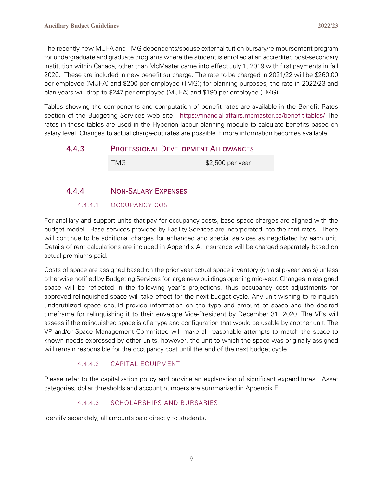The recently new MUFA and TMG dependents/spouse external tuition bursary/reimbursement program for undergraduate and graduate programs where the student is enrolled at an accredited post-secondary institution within Canada, other than McMaster came into effect July 1, 2019 with first payments in fall 2020. These are included in new benefit surcharge. The rate to be charged in 2021/22 will be \$260.00 per employee (MUFA) and \$200 per employee (TMG); for planning purposes, the rate in 2022/23 and plan years will drop to \$247 per employee (MUFA) and \$190 per employee (TMG).

Tables showing the components and computation of benefit rates are available in the Benefit Rates section of the Budgeting Services web site. <https://financial-affairs.mcmaster.ca/benefit-tables/> The rates in these tables are used in the Hyperion labour planning module to calculate benefits based on salary level. Changes to actual charge-out rates are possible if more information becomes available.

### <span id="page-9-0"></span>4.4.3 PROFESSIONAL DEVELOPMENT ALLOWANCES TMG \$2,500 per year

### <span id="page-9-1"></span>4.4.4 NON-SALARY EXPENSES

#### 4.4.4.1 OCCUPANCY COST

For ancillary and support units that pay for occupancy costs, base space charges are aligned with the budget model. Base services provided by Facility Services are incorporated into the rent rates. There will continue to be additional charges for enhanced and special services as negotiated by each unit. Details of rent calculations are included in Appendix A. Insurance will be charged separately based on actual premiums paid.

Costs of space are assigned based on the prior year actual space inventory (on a slip-year basis) unless otherwise notified by Budgeting Services for large new buildings opening mid-year. Changes in assigned space will be reflected in the following year's projections, thus occupancy cost adjustments for approved relinquished space will take effect for the next budget cycle. Any unit wishing to relinquish underutilized space should provide information on the type and amount of space and the desired timeframe for relinquishing it to their envelope Vice-President by December 31, 2020. The VPs will assess if the relinquished space is of a type and configuration that would be usable by another unit. The VP and/or Space Management Committee will make all reasonable attempts to match the space to known needs expressed by other units, however, the unit to which the space was originally assigned will remain responsible for the occupancy cost until the end of the next budget cycle.

#### 4.4.4.2 CAPITAL EQUIPMENT

Please refer to the capitalization policy and provide an explanation of significant expenditures. Asset categories, dollar thresholds and account numbers are summarized in Appendix F.

#### 4.4.4.3 SCHOLARSHIPS AND BURSARIES

Identify separately, all amounts paid directly to students.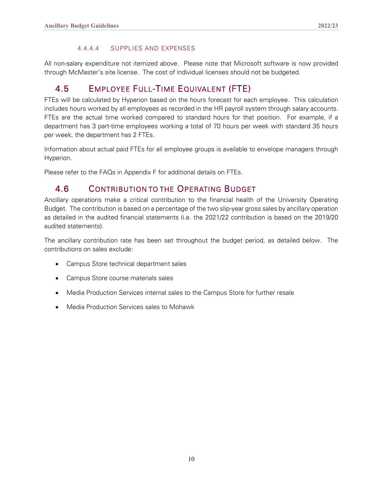#### 4.4.4.4 SUPPLIES AND EXPENSES

All non-salary expenditure not itemized above. Please note that Microsoft software is now provided through McMaster's site license. The cost of individual licenses should not be budgeted.

### <span id="page-10-0"></span>4.5 EMPLOYEE FULL-TIME EQUIVALENT (FTE)

FTEs will be calculated by Hyperion based on the hours forecast for each employee. This calculation includes hours worked by all employees as recorded in the HR payroll system through salary accounts. FTEs are the actual time worked compared to standard hours for that position. For example, if a department has 3 part-time employees working a total of 70 hours per week with standard 35 hours per week, the department has 2 FTEs.

Information about actual paid FTEs for all employee groups is available to envelope managers through Hyperion.

Please refer to the FAQs in Appendix F for additional details on FTEs.

### <span id="page-10-1"></span>4.6 CONTRIBUTION TO THE OPERATING BUDGET

Ancillary operations make a critical contribution to the financial health of the University Operating Budget. The contribution is based on a percentage of the two slip-year gross sales by ancillary operation as detailed in the audited financial statements (i.e. the 2021/22 contribution is based on the 2019/20 audited statements).

The ancillary contribution rate has been set throughout the budget period, as detailed below. The contributions on sales exclude:

- Campus Store technical department sales
- Campus Store course materials sales
- Media Production Services internal sales to the Campus Store for further resale
- Media Production Services sales to Mohawk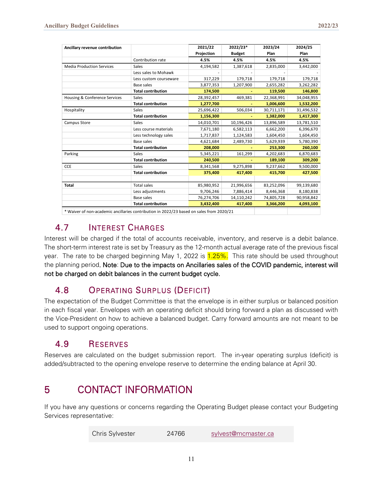| Ancillary revenue contribution   |                           | 2021/22    | 2022/23*      | 2023/24    | 2024/25    |
|----------------------------------|---------------------------|------------|---------------|------------|------------|
|                                  |                           | Projection | <b>Budget</b> | Plan       | Plan       |
|                                  | Contribution rate         | 4.5%       | 4.5%          | 4.5%       | 4.5%       |
| <b>Media Production Services</b> | Sales                     | 4,194,582  | 1,387,618     | 2,835,000  | 3,442,000  |
|                                  | Less sales to Mohawk      |            |               |            |            |
|                                  | Less custom courseware    | 317,229    | 179,718       | 179,718    | 179,718    |
|                                  | Base sales                | 3,877,353  | 1,207,900     | 2,655,282  | 3,262,282  |
|                                  | <b>Total contribution</b> | 174,500    |               | 119,500    | 146,800    |
| Housing & Conference Services    | Sales                     | 28,392,457 | 469,381       | 22,368,991 | 34,048,955 |
|                                  | <b>Total contribution</b> | 1,277,700  |               | 1,006,600  | 1,532,200  |
| Hospitality                      | Sales                     | 25,696,422 | 506,034       | 30,711,171 | 31,496,532 |
|                                  | <b>Total contribution</b> | 1,156,300  |               | 1,382,000  | 1,417,300  |
| Campus Store                     | Sales                     | 14,010,701 | 10,196,426    | 13,896,589 | 13,781,510 |
|                                  | Less course materials     | 7,671,180  | 6,582,113     | 6,662,200  | 6,396,670  |
|                                  | Less technology sales     | 1,717,837  | 1,124,583     | 1,604,450  | 1,604,450  |
|                                  | Base sales                | 4,621,684  | 2,489,730     | 5,629,939  | 5,780,390  |
|                                  | <b>Total contribution</b> | 208,000    |               | 253,300    | 260,100    |
| Parking                          | Sales                     | 5,345,221  | 161,299       | 4,202,683  | 6,870,683  |
|                                  | <b>Total contribution</b> | 240,500    |               | 189,100    | 309,200    |
| <b>CCE</b>                       | Sales                     | 8,341,568  | 9,275,898     | 9,237,662  | 9,500,000  |
|                                  | <b>Total contribution</b> | 375,400    | 417,400       | 415,700    | 427,500    |
|                                  |                           |            |               |            |            |
| <b>Total</b>                     | <b>Total sales</b>        | 85,980,952 | 21,996,656    | 83,252,096 | 99,139,680 |
|                                  | Less adjustments          | 9,706,246  | 7,886,414     | 8,446,368  | 8,180,838  |
|                                  | Base sales                | 76,274,706 | 14,110,242    | 74,805,728 | 90,958,842 |
|                                  | <b>Total contribution</b> | 3,432,400  | 417,400       | 3,366,200  | 4,093,100  |

\* Waiver of non-academic ancillaries contribution in 2022/23 based on sales from 2020/21

## <span id="page-11-0"></span>4.7 INTEREST CHARGES

Interest will be charged if the total of accounts receivable, inventory, and reserve is a debit balance. The short-term interest rate is set by Treasury as the 12-month actual average rate of the previous fiscal year. The rate to be charged beginning May 1, 2022 is **1.25%.** This rate should be used throughout the planning period. Note: Due to the impacts on Ancillaries sales of the COVID pandemic, interest will not be charged on debit balances in the current budget cycle.

## <span id="page-11-1"></span>4.8 OPERATING SURPLUS (DEFICIT)

The expectation of the Budget Committee is that the envelope is in either surplus or balanced position in each fiscal year. Envelopes with an operating deficit should bring forward a plan as discussed with the Vice-President on how to achieve a balanced budget. Carry forward amounts are not meant to be used to support ongoing operations.

## <span id="page-11-2"></span>4.9 RESERVES

Reserves are calculated on the budget submission report. The in-year operating surplus (deficit) is added/subtracted to the opening envelope reserve to determine the ending balance at April 30.

## <span id="page-11-3"></span>5 CONTACT INFORMATION

If you have any questions or concerns regarding the Operating Budget please contact your Budgeting Services representative:

Chris Sylvester 24766 [sylvest@mcmaster.ca](mailto:sylvest@mcmaster.ca)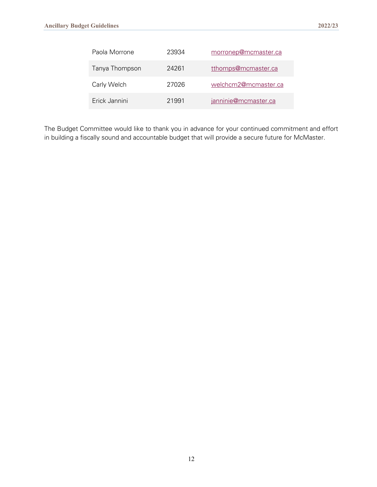| Paola Morrone  | 23934 | morronep@mcmaster.ca |
|----------------|-------|----------------------|
| Tanya Thompson | 24261 | tthomps@mcmaster.ca  |
| Carly Welch    | 27026 | welchcm2@mcmaster.ca |
| Erick Jannini  | 21991 | janninie@mcmaster.ca |

The Budget Committee would like to thank you in advance for your continued commitment and effort in building a fiscally sound and accountable budget that will provide a secure future for McMaster.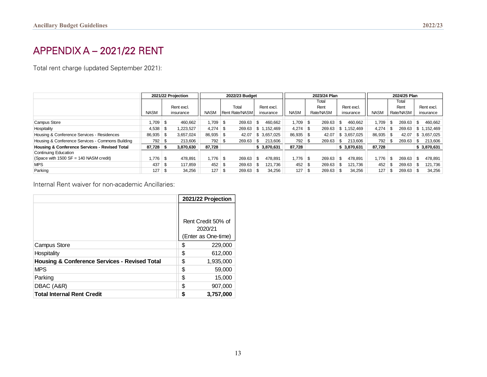## APPENDIX A – 2021/22 RENT

Total rent charge (updated September 2021):

|                                                  | 2021/22 Projection |      | 2022/23 Budget |             |     | 2023/24 Plan          |     |              |             | 2024/25 Plan |           |     |             |             |     |           |      |              |
|--------------------------------------------------|--------------------|------|----------------|-------------|-----|-----------------------|-----|--------------|-------------|--------------|-----------|-----|-------------|-------------|-----|-----------|------|--------------|
|                                                  |                    |      |                |             |     |                       |     |              |             |              | Total     |     |             |             |     | Total     |      |              |
|                                                  |                    |      | Rent excl.     |             |     | Total                 |     | Rent excl.   |             |              | Rent      |     | Rent excl.  |             |     | Rent      |      | Rent excl.   |
|                                                  | <b>NASM</b>        |      | insurance      | NASM        |     | <b>Rent Rate/NASM</b> |     | insurance    | <b>NASM</b> |              | Rate/NASM |     | insurance   | <b>NASM</b> |     | Rate/NASM |      | insurance    |
| <b>Campus Store</b>                              | .709               | -S   | 460,662        | $1.709$ \$  |     | 269.63                | \$  | 460.662      | .709        | - \$         | 269.63    | £.  | 460,662     | 709.ا       | \$  | 269.63    |      | 460,662      |
| Hospitality                                      | 4,538              | -S   | .223.527       | $4,274$ \$  |     | 269.63                |     | \$1.152.469  | 4.274       | - \$         | 269.63    |     | \$1.152.469 | 4,274       | S   | 269.63    | \$1  | 1.152.469    |
| Housing & Conference Services - Residences       | 86,935             | -96  | 3,657,024      | $86,935$ \$ |     | 42.07                 |     | \$ 3,657,025 | 86,935 \$   |              | 42.07     |     | \$3,657,025 | 86,935      | \$. | 42.07     |      | \$ 3.657.025 |
| Housing & Conference Services - Commons Building | 792                | - \$ | 213.606        | $792$ \$    |     | 269.63                | -S  | 213.606      | 792         | - \$         | 269.63    | S.  | 213.606     | 792         | \$. | 269.63    | - 35 | 213.606      |
| Housing & Conference Services - Revised Total    | 87,728             | - 35 | 3.870.630      | 87,728      |     |                       |     | \$ 3,870,631 | 87,728      |              |           |     | \$3.870.631 | 87,728      |     |           |      | \$3,870,631  |
| Continuing Education                             |                    |      |                |             |     |                       |     |              |             |              |           |     |             |             |     |           |      |              |
| (Space with 1500 SF = 140 NASM credit)           | 1,776              | - 35 | 478.891        | $1.776$ \$  |     | 269.63                | -S  | 478.891      | 1,776       | S            | 269.63    | \$. | 478,891     | 1,776       | S   | 269.63    | -5   | 478,891      |
| <b>MPS</b>                                       | 437                | -96  | 117,859        | 452         | \$  | 269.63                | \$. | 121.736      | 452         | - \$         | 269.63    |     | 121.736     | 452         | \$  | 269.63    | -S   | 121,736      |
| Parking                                          | 127                |      | 34.256         | 127         | -\$ | 269.63                | -S  | 34,256       | 127         |              | 269.63    |     | 34,256      | 127         |     | 269.63    |      | 34,256       |

<span id="page-13-0"></span>Internal Rent waiver for non-academic Ancillaries:

|                                               |                                                     | 2021/22 Projection |  |  |
|-----------------------------------------------|-----------------------------------------------------|--------------------|--|--|
|                                               |                                                     |                    |  |  |
|                                               | Rent Credit 50% of<br>2020/21<br>Enter as One-time) |                    |  |  |
| <b>Campus Store</b>                           | \$                                                  | 229,000            |  |  |
| Hospitality                                   | \$                                                  | 612,000            |  |  |
| Housing & Conference Services - Revised Total | \$                                                  | 1,935,000          |  |  |
| <b>MPS</b>                                    | \$                                                  | 59,000             |  |  |
| Parking                                       | \$                                                  | 15,000             |  |  |
| DBAC (A&R)                                    | \$                                                  | 907,000            |  |  |
| <b>Total Internal Rent Credit</b>             | \$                                                  | 3,757,000          |  |  |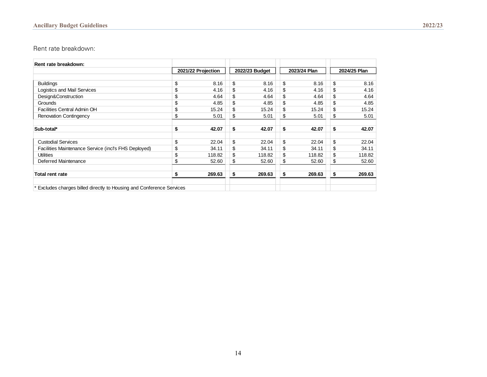#### Rent rate breakdown:

| Rent rate breakdown:                                                |                    |                |              |              |
|---------------------------------------------------------------------|--------------------|----------------|--------------|--------------|
|                                                                     | 2021/22 Projection | 2022/23 Budget | 2023/24 Plan | 2024/25 Plan |
|                                                                     |                    |                |              |              |
| <b>Buildings</b>                                                    | \$<br>8.16         | \$<br>8.16     | \$<br>8.16   | \$<br>8.16   |
| Logistics and Mail Services                                         | \$<br>4.16         | \$<br>4.16     | \$<br>4.16   | \$<br>4.16   |
| Design&Construction                                                 | \$<br>4.64         | \$<br>4.64     | \$<br>4.64   | \$<br>4.64   |
| Grounds                                                             | \$<br>4.85         | \$<br>4.85     | \$<br>4.85   | \$<br>4.85   |
| Facilities Central Admin OH                                         | \$<br>15.24        | \$<br>15.24    | \$<br>15.24  | \$<br>15.24  |
| Renovation Contingency                                              | \$<br>5.01         | \$<br>5.01     | \$<br>5.01   | \$<br>5.01   |
|                                                                     |                    |                |              |              |
| Sub-total*                                                          | \$<br>42.07        | \$<br>42.07    | \$<br>42.07  | \$<br>42.07  |
| <b>Custodial Services</b>                                           | \$<br>22.04        | \$<br>22.04    | \$<br>22.04  | \$<br>22.04  |
| Facilities Maintenance Service (incl's FHS Deployed)                | \$<br>34.11        | \$<br>34.11    | \$<br>34.11  | \$<br>34.11  |
| <b>Utilities</b>                                                    | \$<br>118.82       | \$<br>118.82   | \$<br>118.82 | \$<br>118.82 |
| Deferred Maintenance                                                | \$<br>52.60        | \$<br>52.60    | \$<br>52.60  | \$<br>52.60  |
| <b>Total rent rate</b>                                              | \$<br>269.63       | \$<br>269.63   | \$<br>269.63 | \$<br>269.63 |
| Excludes charges billed directly to Housing and Conference Services |                    |                |              |              |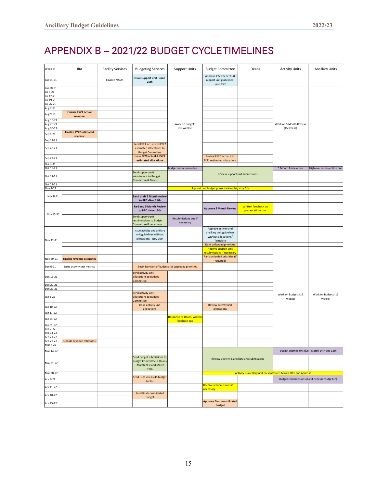## <span id="page-15-0"></span>APPENDIX B – 2021/22 BUDGET CYCLE TIMELINES

| Week of                | <b>IRA</b>                                | <b>Facility Services</b> | <b>Budgeting Services</b>                                                                           | <b>Support Units</b>              | <b>Budget Committee</b>                                           | Deans                                                            | <b>Activity Units</b>         | <b>Ancillary Units</b>                          |  |  |  |
|------------------------|-------------------------------------------|--------------------------|-----------------------------------------------------------------------------------------------------|-----------------------------------|-------------------------------------------------------------------|------------------------------------------------------------------|-------------------------------|-------------------------------------------------|--|--|--|
| Jun 21-21              |                                           | Finalize NASM            | Issue support unit - June<br>25th                                                                   |                                   | Approve FY21 benefits &<br>support unit guidelines -<br>June 23rd |                                                                  |                               |                                                 |  |  |  |
| Jun 28-21              |                                           |                          |                                                                                                     |                                   |                                                                   |                                                                  |                               |                                                 |  |  |  |
| Jul 5-21               |                                           |                          |                                                                                                     |                                   |                                                                   |                                                                  |                               |                                                 |  |  |  |
| Jul 12-21<br>Jul 19-21 |                                           |                          |                                                                                                     |                                   |                                                                   |                                                                  |                               |                                                 |  |  |  |
| Jul 26-21              |                                           |                          |                                                                                                     |                                   |                                                                   |                                                                  |                               |                                                 |  |  |  |
| Aug 2-21               |                                           |                          |                                                                                                     |                                   |                                                                   |                                                                  |                               |                                                 |  |  |  |
|                        | <b>Finalize FY21 actual</b>               |                          |                                                                                                     |                                   |                                                                   |                                                                  |                               |                                                 |  |  |  |
| Aug 9-21               | revenue                                   |                          |                                                                                                     |                                   |                                                                   |                                                                  |                               |                                                 |  |  |  |
| Aug 16-21              |                                           |                          |                                                                                                     |                                   |                                                                   |                                                                  |                               |                                                 |  |  |  |
| Aug 23-21              |                                           |                          |                                                                                                     | Work on budgets                   |                                                                   |                                                                  | Work on 5 Month Review        |                                                 |  |  |  |
| Aug 30-21              |                                           |                          |                                                                                                     | (15 weeks)                        |                                                                   |                                                                  | (15 weeks)                    |                                                 |  |  |  |
| Sep 6-21               | <b>Finalize FY22 estimated</b><br>revenue |                          |                                                                                                     |                                   |                                                                   |                                                                  |                               |                                                 |  |  |  |
| Sep 13-21              |                                           |                          |                                                                                                     |                                   |                                                                   |                                                                  |                               |                                                 |  |  |  |
| Sep 20-21              |                                           |                          | Send FY21 actual and FY22<br>estimated allocations to<br><b>Budget Committee</b>                    |                                   |                                                                   |                                                                  |                               |                                                 |  |  |  |
|                        |                                           |                          | <b>Issue FY20 actual &amp; FY21</b>                                                                 |                                   | Review FY20 actual and                                            |                                                                  |                               |                                                 |  |  |  |
| Sep 27-21              |                                           |                          | estimated allocations                                                                               |                                   | FY21 estimated allocations                                        |                                                                  |                               |                                                 |  |  |  |
| Oct 4-21               |                                           |                          |                                                                                                     |                                   |                                                                   |                                                                  |                               |                                                 |  |  |  |
| Oct 11-21              |                                           |                          |                                                                                                     | Budget submissions due            |                                                                   |                                                                  | 5 Month Review due            | Highlevel re-projection due                     |  |  |  |
| Oct 18-21              |                                           |                          | Send support unit<br>submissions to Budget<br>Committee & Deans                                     |                                   |                                                                   | Review support unit submissions                                  |                               |                                                 |  |  |  |
| Oct 25-21              |                                           |                          |                                                                                                     |                                   |                                                                   |                                                                  |                               |                                                 |  |  |  |
| Nov 1-21               |                                           |                          |                                                                                                     |                                   | Support unit budget presentations 1st/ 4th/ 5th                   |                                                                  |                               |                                                 |  |  |  |
| Nov 8-21               |                                           |                          | Send draft 5 Month review                                                                           |                                   |                                                                   |                                                                  |                               |                                                 |  |  |  |
|                        |                                           |                          | to PRC -Nov 11th                                                                                    |                                   |                                                                   |                                                                  |                               |                                                 |  |  |  |
| Nov 15-21              |                                           |                          | <b>Re-Send 5 Month Review</b><br>to PRC - Nov 17th                                                  |                                   | <b>Approve 5 Month Review</b>                                     | Written feedback on<br>presentations due                         |                               |                                                 |  |  |  |
|                        |                                           |                          | Send support unit<br>resubmissions to Budget<br>Committee if necessary                              | Resubmissions due if<br>necessary |                                                                   |                                                                  |                               |                                                 |  |  |  |
|                        |                                           |                          | Issue activity and anillary                                                                         |                                   | Approve activity and                                              |                                                                  |                               |                                                 |  |  |  |
|                        |                                           |                          | unit guidelines without                                                                             |                                   | ancillary unit guidelines                                         |                                                                  |                               |                                                 |  |  |  |
|                        |                                           |                          | allocations - Nov 26th                                                                              |                                   | without allocations/                                              |                                                                  |                               |                                                 |  |  |  |
| Nov 22-21              |                                           |                          |                                                                                                     |                                   | Template                                                          |                                                                  |                               |                                                 |  |  |  |
|                        |                                           |                          |                                                                                                     |                                   | Rank unfunded priorities<br>Receive support unit                  |                                                                  |                               |                                                 |  |  |  |
|                        |                                           |                          |                                                                                                     |                                   | resubmissions if necessary                                        |                                                                  |                               |                                                 |  |  |  |
|                        |                                           |                          |                                                                                                     |                                   | Rank unfunded priorities (if                                      |                                                                  |                               |                                                 |  |  |  |
| Nov 29-21              | <b>Finalize revenue estimates</b>         |                          |                                                                                                     |                                   | required)                                                         |                                                                  |                               |                                                 |  |  |  |
| Dec 6-21               | Issue activity unit metrics               |                          | Begin Revision of budgets for approved priorities                                                   |                                   |                                                                   |                                                                  |                               |                                                 |  |  |  |
|                        |                                           |                          |                                                                                                     |                                   |                                                                   |                                                                  |                               |                                                 |  |  |  |
| Dec 13-21              |                                           |                          | Send activity unit<br>allocations to Budget<br>Committee                                            |                                   |                                                                   |                                                                  |                               |                                                 |  |  |  |
| Dec 20-21              |                                           |                          |                                                                                                     |                                   |                                                                   |                                                                  |                               |                                                 |  |  |  |
| Dec 27-21              |                                           |                          |                                                                                                     |                                   |                                                                   |                                                                  |                               |                                                 |  |  |  |
| Jan 3-22               |                                           |                          | Send activity unit<br>allocations to Budget<br>Committee                                            |                                   |                                                                   |                                                                  | Work on Budgets (16<br>weeks) | Work on Budgets (16<br>Weeks)                   |  |  |  |
| Jan 10-22              |                                           |                          | Issue activity unit<br>allocations                                                                  |                                   | Review activity unit<br>allocations                               |                                                                  |                               |                                                 |  |  |  |
| Jan 17-22              |                                           |                          |                                                                                                     |                                   |                                                                   |                                                                  |                               |                                                 |  |  |  |
| Jan 24-22              |                                           |                          |                                                                                                     | <b>Response to Deans' written</b> |                                                                   |                                                                  |                               |                                                 |  |  |  |
|                        |                                           |                          |                                                                                                     | feedback due                      |                                                                   |                                                                  |                               |                                                 |  |  |  |
| Jan 31-22              |                                           |                          |                                                                                                     |                                   |                                                                   |                                                                  |                               |                                                 |  |  |  |
| Feb 7-22<br>Feb 14-22  |                                           |                          |                                                                                                     |                                   |                                                                   |                                                                  |                               |                                                 |  |  |  |
| Feb 21-22              |                                           |                          |                                                                                                     |                                   |                                                                   |                                                                  |                               |                                                 |  |  |  |
| Feb 28-22              | Update revenue estimates                  |                          |                                                                                                     |                                   |                                                                   |                                                                  |                               |                                                 |  |  |  |
| Mar 7-22               |                                           |                          |                                                                                                     |                                   |                                                                   |                                                                  |                               |                                                 |  |  |  |
| Mar 14-22              |                                           |                          |                                                                                                     |                                   |                                                                   |                                                                  |                               | Budget submissions due - March 14th and 18th    |  |  |  |
|                        |                                           |                          |                                                                                                     |                                   |                                                                   |                                                                  |                               |                                                 |  |  |  |
| Mar 21-22              |                                           |                          | Send budget submissions to<br><b>Budget Committee &amp; Deans</b><br>- March 21st and March<br>25th |                                   |                                                                   | Review activity & ancillary unit submissions                     |                               |                                                 |  |  |  |
| Mar 28-22              |                                           |                          |                                                                                                     |                                   |                                                                   | Activity & ancillary unit presentations March 28th and April 1st |                               |                                                 |  |  |  |
|                        |                                           |                          | Send Fund 20/30/45 budget                                                                           |                                   |                                                                   |                                                                  |                               |                                                 |  |  |  |
| Apr 4-22               |                                           |                          | tables                                                                                              |                                   |                                                                   |                                                                  |                               | Budget resubmissions due if necessary (Apr 6th) |  |  |  |
| Apr 11-22              |                                           |                          |                                                                                                     |                                   | Receive resubmissions if<br><b>necessary</b>                      |                                                                  |                               |                                                 |  |  |  |
| Apr 18-22              |                                           |                          | Send final consolidated                                                                             |                                   |                                                                   |                                                                  |                               |                                                 |  |  |  |
|                        |                                           |                          | budget                                                                                              |                                   |                                                                   |                                                                  |                               |                                                 |  |  |  |
| Apr 25-22              |                                           |                          |                                                                                                     |                                   | <b>Approve final consolidated</b><br>budget                       |                                                                  |                               |                                                 |  |  |  |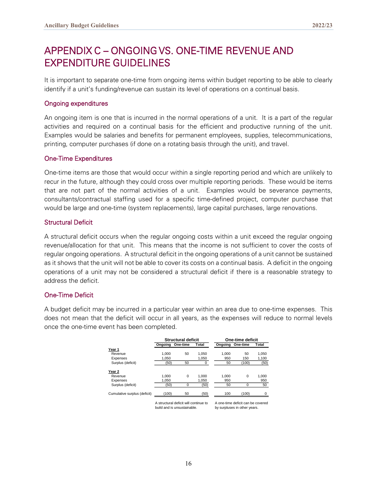## <span id="page-16-0"></span>APPENDIX C – ONGOING VS. ONE-TIME REVENUE AND EXPENDITURE GUIDELINES

It is important to separate one-time from ongoing items within budget reporting to be able to clearly identify if a unit's funding/revenue can sustain its level of operations on a continual basis.

#### Ongoing expenditures

An ongoing item is one that is incurred in the normal operations of a unit. It is a part of the regular activities and required on a continual basis for the efficient and productive running of the unit. Examples would be salaries and benefits for permanent employees, supplies, telecommunications, printing, computer purchases (if done on a rotating basis through the unit), and travel.

#### One-Time Expenditures

One-time items are those that would occur within a single reporting period and which are unlikely to recur in the future, although they could cross over multiple reporting periods. These would be items that are not part of the normal activities of a unit. Examples would be severance payments, consultants/contractual staffing used for a specific time-defined project, computer purchase that would be large and one-time (system replacements), large capital purchases, large renovations.

#### Structural Deficit

A structural deficit occurs when the regular ongoing costs within a unit exceed the regular ongoing revenue/allocation for that unit. This means that the income is not sufficient to cover the costs of regular ongoing operations. A structural deficit in the ongoing operations of a unit cannot be sustained as it shows that the unit will not be able to cover its costs on a continual basis. A deficit in the ongoing operations of a unit may not be considered a structural deficit if there is a reasonable strategy to address the deficit.

#### One-Time Deficit

A budget deficit may be incurred in a particular year within an area due to one-time expenses. This does not mean that the deficit will occur in all years, as the expenses will reduce to normal levels once the one-time event has been completed.

|                              |         | Structural deficit                                                   |       | One-time deficit |                                                                   |       |  |  |  |
|------------------------------|---------|----------------------------------------------------------------------|-------|------------------|-------------------------------------------------------------------|-------|--|--|--|
|                              | Ongoing | One-time                                                             | Total | Ongoing          | One-time                                                          | Total |  |  |  |
| Year 1                       |         |                                                                      |       |                  |                                                                   |       |  |  |  |
| Revenue                      | 1.000   | 50                                                                   | 1.050 | 1.000            | 50                                                                | 1,050 |  |  |  |
| Expenses                     | 1.050   |                                                                      | 1,050 | 950              | 150                                                               | 1,100 |  |  |  |
| Surplus (deficit)            | (50)    | 50                                                                   | 0     | 50               | (100)                                                             | (50)  |  |  |  |
| Year 2<br>Revenue            | 1.000   | $\Omega$                                                             | 1.000 | 1.000            | $\Omega$                                                          | 1,000 |  |  |  |
| Expenses                     | 1,050   |                                                                      | 1.050 | 950              |                                                                   | 950   |  |  |  |
| Surplus (deficit)            | (50)    | $\Omega$                                                             | (50)  | 50               | $\Omega$                                                          | 50    |  |  |  |
| Cumulative surplus (deficit) | (100)   | 50                                                                   | (50)  | 100              | (100)                                                             | n     |  |  |  |
|                              |         | A structural deficit will continue to<br>build and is unsustainable. |       |                  | A one-time deficit can be covered<br>by surpluses in other years. |       |  |  |  |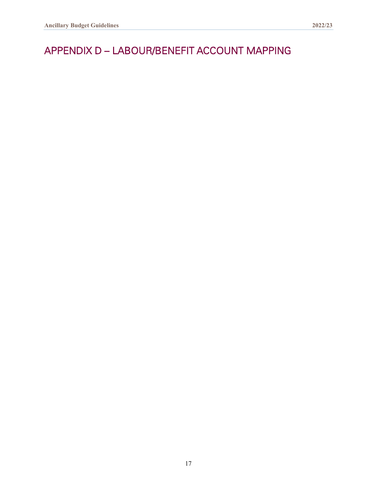## <span id="page-17-0"></span>APPENDIX D – LABOUR/BENEFIT ACCOUNT MAPPING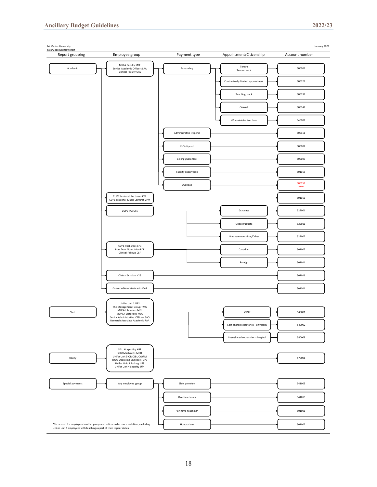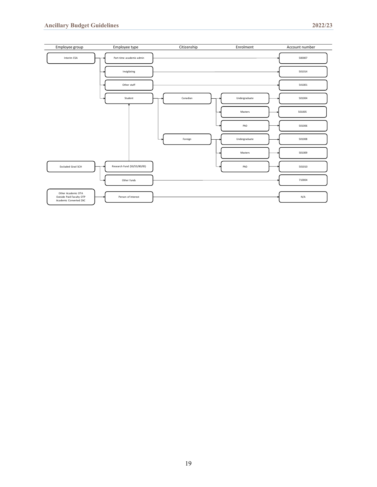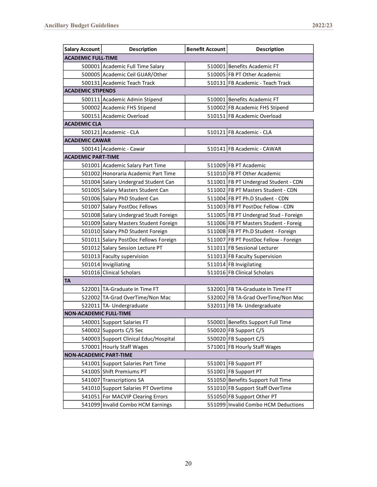| <b>Salary Account</b>         | <b>Description</b>                    | <b>Benefit Account</b> | <b>Description</b>                    |
|-------------------------------|---------------------------------------|------------------------|---------------------------------------|
| <b>ACADEMIC FULL-TIME</b>     |                                       |                        |                                       |
|                               | 500001 Academic Full Time Salary      |                        | 510001 Benefits Academic FT           |
|                               | 500005 Academic Ceil GUAR/Other       |                        | 510005 FB PT Other Academic           |
|                               | 500131 Academic Teach Track           |                        | 510131 FB Academic - Teach Track      |
| <b>ACADEMIC STIPENDS</b>      |                                       |                        |                                       |
|                               | 500111 Academic Admin Stipend         |                        | 510001 Benefits Academic FT           |
|                               | 500002 Academic FHS Stipend           |                        | 510002 FB Academic FHS Stipend        |
|                               | 500151 Academic Overload              |                        | 510151 FB Academic Overload           |
| <b>ACADEMIC CLA</b>           |                                       |                        |                                       |
|                               | 500121 Academic - CLA                 |                        | 510121 FB Academic - CLA              |
| <b>ACADEMIC CAWAR</b>         |                                       |                        |                                       |
|                               | 500141 Academic - Cawar               |                        | 510141 FB Academic - CAWAR            |
| <b>ACADEMIC PART-TIME</b>     |                                       |                        |                                       |
|                               | 501001 Academic Salary Part Time      |                        | 511009 FB PT Academic                 |
|                               | 501002 Honoraria Academic Part Time   |                        | 511010 FB PT Other Academic           |
|                               | 501004 Salary Undergrad Student Can   |                        | 511001 FB PT Undergrad Student - CDN  |
|                               | 501005 Salary Masters Student Can     |                        | 511002 FB PT Masters Student - CDN    |
|                               | 501006 Salary PhD Student Can         |                        | 511004 FB PT Ph.D Student - CDN       |
|                               | 501007 Salary PostDoc Fellows         |                        | 511003 FB PT PostDoc Fellow - CDN     |
|                               | 501008 Salary Undergrad Studt Foreign |                        | 511005 FB PT Undergrad Stud - Foreign |
|                               | 501009 Salary Masters Student Foreign |                        | 511006 FB PT Masters Student - Foreig |
|                               | 501010 Salary PhD Student Foreign     |                        | 511008 FB PT Ph.D Student - Foreign   |
|                               | 501011 Salary PostDoc Fellows Foreign |                        | 511007 FB PT PostDoc Fellow - Foreign |
|                               | 501012 Salary Session Lecture PT      |                        | 511011 FB Sessional Lecturer          |
|                               | 501013 Faculty supervision            |                        | 511013 FB Faculty Supervision         |
|                               | 501014   Invigiliating                |                        | 511014 FB Invigilating                |
|                               | 501016 Clinical Scholars              |                        | 511016 FB Clinical Scholars           |
| <b>TA</b>                     |                                       |                        |                                       |
|                               | 522001 TA-Graduate In Time FT         |                        | 532001 FB TA-Graduate In Time FT      |
|                               | 522002 TA-Grad OverTime/Non Mac       |                        | 532002 FB TA-Grad OverTime/Non Mac    |
|                               | 522011 TA- Undergraduate              |                        | 532011 FB TA- Undergraduate           |
| <b>NON-ACADEMIC FULL-TIME</b> |                                       |                        |                                       |
|                               | 540001 Support Salaries FT            |                        | 550001 Benefits Support Full Time     |
|                               | 540002 Supports C/S Sec               |                        | 550020 FB Support C/S                 |
|                               | 540003 Support Clinical Educ/Hospital |                        | 550020 FB Support C/S                 |
|                               | 570001 Hourly Staff Wages             |                        | 571001 FB Hourly Staff Wages          |
| <b>NON-ACADEMIC PART-TIME</b> |                                       |                        |                                       |
|                               | 541001 Support Salaries Part Time     |                        | 551001 FB Support PT                  |
|                               | 541005 Shift Premiums PT              |                        | 551001 FB Support PT                  |
|                               | 541007 Transcriptions SA              |                        | 551050 Benefits Support Full Time     |
|                               | 541010 Support Salaries PT Overtime   |                        | 551010 FB Support Staff OverTime      |
|                               | 541051 For MACVIP Clearing Errors     |                        | 551050 FB Support Other PT            |
|                               | 541099 Invalid Combo HCM Earnings     |                        | 551099 Invalid Combo HCM Deductions   |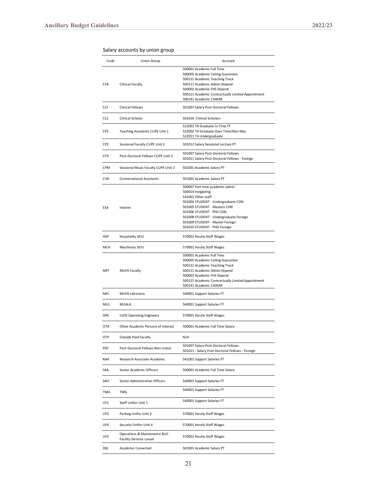| Code            | Union Group                                                     | Account                                                                                                                                                                                                                                                                                    |
|-----------------|-----------------------------------------------------------------|--------------------------------------------------------------------------------------------------------------------------------------------------------------------------------------------------------------------------------------------------------------------------------------------|
| <b>CFA</b>      | <b>Clinical Faculty</b>                                         | 500001 Academic Full Time<br>500005 Academic Ceiling Guarantee<br>500131 Academic Teaching Track<br>500111 Academic Admin Stipend<br>500002 Academic FHS Stipend<br>500121 Academic Contractually Limited Appointment<br>500141 Academic CAWAR                                             |
| <b>CLF</b>      | Clinical Fellows                                                | 501007 Salary Post-Doctoral Fellows                                                                                                                                                                                                                                                        |
| <b>CLS</b>      | Clinical Scholar                                                | 501016 Clinical Scholars                                                                                                                                                                                                                                                                   |
| CP1             | Teaching Assistants CUPE Unit 1                                 | 522001 TA Graduate In Time FT<br>522002 TA Graduate Over Time/Non Mac<br>522011 TA Undergraduate                                                                                                                                                                                           |
| CP <sub>2</sub> | Sessional Faculty CUPE Unit 2                                   | 501012 Salary Sessional Lecture PT                                                                                                                                                                                                                                                         |
| CP3             | Post-Doctoral Fellows CUPE Unit 3                               | 501007 Salary Post-Doctoral Fellows<br>501011 Salary Post-Doctoral Fellows - Foreign                                                                                                                                                                                                       |
| CPM             | Sessional Music Faculty CUPE Unit 2                             | 501001 Academic Salary PT                                                                                                                                                                                                                                                                  |
| <b>CVA</b>      | <b>Conversational Assistants</b>                                | 501001 Academic Salary PT                                                                                                                                                                                                                                                                  |
| ESA             | Interim                                                         | 500007 Part time academic admin<br>500014 Inviglating<br>541001 Other staff<br>501004 STUDENT - Undergraduate CDN<br>501005 STUDENT - Masters CDN<br>501006 STUDENT - PhD CDN<br>501008 STUDENT - Undergraduate Foreign<br>501009 STUDENT - Master Foreign<br>501010 STUDENT - PHD Foreign |
| HSP             | Hospitality SEIU                                                | 570001 Hourly Staff Wages                                                                                                                                                                                                                                                                  |
| MCH             | Machinists SEIU                                                 | 570001 Hourly Staff Wages                                                                                                                                                                                                                                                                  |
| MFF             | <b>MUFA Faculty</b>                                             | 500001 Academic Full Time<br>500005 Academic Ceiling Guarantee<br>500131 Academic Teaching Track<br>500111 Academic Admin Stipend<br>500002 Academic FHS Stipend<br>500121 Academic Contractually Limited Appointment<br>500141 Academic CAWAR                                             |
| MFL             | <b>MUFA Librarians</b>                                          | 540001 Support Salaries FT                                                                                                                                                                                                                                                                 |
| MUL             | MUALA                                                           | 540001 Support Salaries FT                                                                                                                                                                                                                                                                 |
| OPE             | <b>IUOE Operating Engineers</b>                                 | 570001 Hourly Staff Wages                                                                                                                                                                                                                                                                  |
| <b>OTA</b>      | Other Academic Persons of Interest                              | 500001 Academic Full Time Salary                                                                                                                                                                                                                                                           |
| OTP             | <b>Outside Paid Faculty</b>                                     | N/A                                                                                                                                                                                                                                                                                        |
| PDF             | Post-Doctoral Fellows Non-Union                                 | 501007 Salary Post-Doctoral Fellows<br>501011 - Salary Post-Doctoral Fellows - Foreign                                                                                                                                                                                                     |
| RAA             | Research Associate Academic                                     | 541001 Support Salaries PT                                                                                                                                                                                                                                                                 |
| SAA             | Senior Academic Officers                                        | 500001 Academic Full Time Salary                                                                                                                                                                                                                                                           |
| SAO             | Senior Administrative Officers                                  | 540001 Support Salaries FT                                                                                                                                                                                                                                                                 |
| TMG             | <b>TMG</b>                                                      | 540001 Support Salaries FT                                                                                                                                                                                                                                                                 |
| UF1             | Staff Unifor Unit 1                                             | 540001 Support Salaries FT                                                                                                                                                                                                                                                                 |
| UF3             | Parking Unifor Unit 3                                           | 570001 Hourly Staff Wages                                                                                                                                                                                                                                                                  |
| UF4             | Security Unifor Unit 4                                          | 570001 Hourly Staff Wages                                                                                                                                                                                                                                                                  |
| UF5             | Operations & Maintenance BUC<br><b>Facility Services casual</b> | 570001 Hourly Staff Wages                                                                                                                                                                                                                                                                  |
| ZAC             | Academic Converted                                              | 501001 Academic Salary PT                                                                                                                                                                                                                                                                  |

|  | Salary accounts by union group |  |
|--|--------------------------------|--|
|--|--------------------------------|--|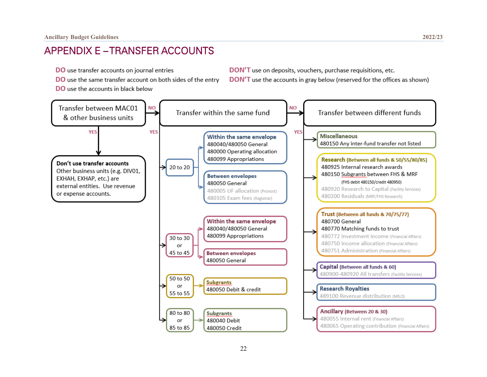## APPENDIX E – TRANSFER ACCOUNTS

- **DO** use transfer accounts on journal entries
- DO use the same transfer account on both sides of the entry
- **DO** use the accounts in black below

DON'T use on deposits, vouchers, purchase requisitions, etc. DON'T use the accounts in gray below (reserved for the offices as shown)

<span id="page-22-0"></span>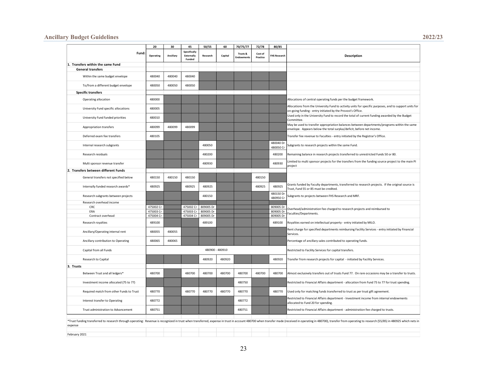#### **Ancillary Budget Guidelines 2022/23**

|                                                               |             | 20                     | 30        | 45                                                 | 50/55                  | 60      | 70/75/77                      | 72/78               | 80/85                  |                                                                                                                                                                                                                                |
|---------------------------------------------------------------|-------------|------------------------|-----------|----------------------------------------------------|------------------------|---------|-------------------------------|---------------------|------------------------|--------------------------------------------------------------------------------------------------------------------------------------------------------------------------------------------------------------------------------|
|                                                               | <b>Fund</b> | Operating              | Ancillary | <b>Specifically</b><br>Externally<br><b>Funded</b> | Research               | Capital | Trusts &<br><b>Endowment:</b> | Cost of<br>Practice | <b>FHS Research</b>    | <b>Description</b>                                                                                                                                                                                                             |
| 1. Transfers within the same Fund<br><b>General transfers</b> |             |                        |           |                                                    |                        |         |                               |                     |                        |                                                                                                                                                                                                                                |
| Within the same budget envelope                               |             | 480040                 | 480040    | 480040                                             |                        |         |                               |                     |                        |                                                                                                                                                                                                                                |
| To/from a different budget envelope                           |             | 480050                 | 480050    | 480050                                             |                        |         |                               |                     |                        |                                                                                                                                                                                                                                |
| <b>Specific transfers</b>                                     |             |                        |           |                                                    |                        |         |                               |                     |                        |                                                                                                                                                                                                                                |
| Operating allocation                                          |             | 480000                 |           |                                                    |                        |         |                               |                     |                        | Allocations of central operating funds per the budget framework.                                                                                                                                                               |
|                                                               |             |                        |           |                                                    |                        |         |                               |                     |                        |                                                                                                                                                                                                                                |
| University Fund specific allocations                          |             | 480005                 |           |                                                    |                        |         |                               |                     |                        | Allocations from the University Fund to activity units for specific purposes, and to support units for<br>on-going funding - entry initiated by the Provost's Office.                                                          |
| University Fund funded priorities                             |             | 480010                 |           |                                                    |                        |         |                               |                     |                        | Used only in the University Fund to record the total of current funding awarded by the Budget<br>Committee.                                                                                                                    |
| Appropriation transfers                                       |             | 480099                 | 480099    | 480099                                             |                        |         |                               |                     |                        | May be used to transfer appropriation balances between departments/programs within the same<br>envelope. Appears below the total surplus/deficit, before net income.                                                           |
| Deferred exam fee transfers                                   |             | 480105                 |           |                                                    |                        |         |                               |                     |                        | Transfer fee revenue to Faculties - entry initiated by the Registrar's Office.                                                                                                                                                 |
| Internal research subgrants                                   |             |                        |           |                                                    | 480050                 |         |                               |                     | 480040 Dr<br>480050 Cr | Subgrants to research projects within the same Fund.                                                                                                                                                                           |
| Research residuals                                            |             |                        |           |                                                    | 480200                 |         |                               |                     | 480200                 | Remaining balance in research projects transferred to unrestricted Funds 50 or 80.                                                                                                                                             |
| Multi sponsor revenue transfer                                |             |                        |           |                                                    | 480930                 |         |                               |                     | 480930                 | Limited to multi sponsor projects for the transfers from the funding source project to the main PI<br>project                                                                                                                  |
| 2. Transfers between different Funds                          |             |                        |           |                                                    |                        |         |                               |                     |                        |                                                                                                                                                                                                                                |
| General transfers not specified below                         |             | 480150                 | 480150    | 480150                                             |                        |         |                               | 480150              |                        |                                                                                                                                                                                                                                |
| Internally funded research awards*                            |             | 480925                 |           | 480925                                             | 480925                 |         |                               | 480925              | 480925                 | Grants funded by Faculty departments, transferred to research projects. If the original source is<br>Trust, Fund 55 or 85 must be credited.                                                                                    |
| Research subgrants between projects                           |             |                        |           |                                                    | 480150                 |         |                               |                     | 480150 Dr<br>480950 Cr | Subgrants to projects between FHS Research and MRF.                                                                                                                                                                            |
| Research overhead income                                      |             |                        |           |                                                    |                        |         |                               |                     |                        |                                                                                                                                                                                                                                |
| CRC                                                           |             | 475002 Cr              |           | 475002 Cr                                          | 809005 Dr              |         |                               |                     | 809005 Dr              | Overhead/administration fee charged to research projects and reimbursed to                                                                                                                                                     |
| ERA<br>Contract overhead                                      |             | 475003 Cr<br>475004 Cr |           | 475003 Cr<br>475004 Cr                             | 809005 Dr<br>809005 Dr |         |                               |                     | 809005 Dr<br>809005 Dr | Faculties/Departments.                                                                                                                                                                                                         |
| Research royalties                                            |             | 489100                 |           |                                                    | 489100                 |         |                               |                     | 489100                 | Royalties earned on intellectual property - entry initiated by MILO.                                                                                                                                                           |
| Ancillary/Operating internal rent                             |             | 480055                 | 480055    |                                                    |                        |         |                               |                     |                        | Rent charge for specified departments reimbursing Facility Services - entry initiated by Financial<br>Services.                                                                                                                |
| Ancillary contribution to Operating                           |             | 480065                 | 480065    |                                                    |                        |         |                               |                     |                        | Percentage of ancillary sales contributed to operating funds.                                                                                                                                                                  |
| Capital from all Funds                                        |             |                        |           |                                                    | 480900 - 480910        |         |                               |                     |                        | Restricted to Facility Services for capital transfers.                                                                                                                                                                         |
| Research to Capital                                           |             |                        |           |                                                    | 480920                 | 480920  |                               |                     | 480920                 | Transfer from research projects for capital - initiated by Facility Services.                                                                                                                                                  |
| 3. Trusts                                                     |             |                        |           |                                                    |                        |         |                               |                     |                        |                                                                                                                                                                                                                                |
| Between Trust and all ledgers*                                |             | 480700                 |           | 480700                                             | 480700                 | 480700  | 480700                        | 480700              | 480700                 | Almost exclusively transfers out of trusts Fund 77. On rare occasions may be a transfer to trusts.                                                                                                                             |
| Investment income allocated (75 to 77)                        |             |                        |           |                                                    |                        |         | 480750                        |                     |                        | Restricted to Financial Affairs department - allocation from Fund 75 to 77 for trust spending.                                                                                                                                 |
| Required match from other Funds to Trust                      |             | 480770                 |           | 480770                                             | 480770                 | 480770  | 480770                        |                     | 480770                 | Used only for matching funds transferred to trust as per trust gift agreement.                                                                                                                                                 |
| Interest transfer to Operating                                |             | 480772                 |           |                                                    |                        |         | 480772                        |                     |                        | Restricted to Financial Affairs department - Investment income from internal endowments<br>allocated to Fund 20 for spending.                                                                                                  |
| Trust administration to Advancement                           |             | 480751                 |           |                                                    |                        |         | 480751                        |                     |                        | Restricted to Financial Affairs department - administration fee charged to trusts.                                                                                                                                             |
| expense                                                       |             |                        |           |                                                    |                        |         |                               |                     |                        | *Trust funding transferred to research through operating: Revenue is recognized in trust when transferred, expense in trust in account 480700 when transfer made (received in operating in 480700), transfer from operating to |
| February 2021                                                 |             |                        |           |                                                    |                        |         |                               |                     |                        |                                                                                                                                                                                                                                |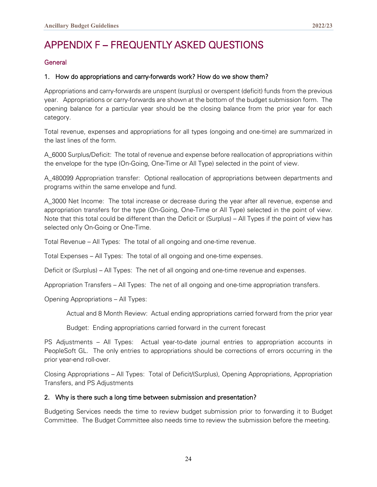## <span id="page-24-0"></span>APPENDIX F – FREQUENTLY ASKED QUESTIONS

#### General

#### 1. How do appropriations and carry-forwards work? How do we show them?

Appropriations and carry-forwards are unspent (surplus) or overspent (deficit) funds from the previous year. Appropriations or carry-forwards are shown at the bottom of the budget submission form. The opening balance for a particular year should be the closing balance from the prior year for each category.

Total revenue, expenses and appropriations for all types (ongoing and one-time) are summarized in the last lines of the form.

A\_6000 Surplus/Deficit: The total of revenue and expense before reallocation of appropriations within the envelope for the type (On-Going, One-Time or All Type) selected in the point of view.

A\_480099 Appropriation transfer: Optional reallocation of appropriations between departments and programs within the same envelope and fund.

A\_3000 Net Income: The total increase or decrease during the year after all revenue, expense and appropriation transfers for the type (On-Going, One-Time or All Type) selected in the point of view. Note that this total could be different than the Deficit or (Surplus) – All Types if the point of view has selected only On-Going or One-Time.

Total Revenue – All Types: The total of all ongoing and one-time revenue.

Total Expenses – All Types: The total of all ongoing and one-time expenses.

Deficit or (Surplus) – All Types: The net of all ongoing and one-time revenue and expenses.

Appropriation Transfers – All Types: The net of all ongoing and one-time appropriation transfers.

Opening Appropriations – All Types:

Actual and 8 Month Review: Actual ending appropriations carried forward from the prior year

Budget: Ending appropriations carried forward in the current forecast

PS Adjustments – All Types: Actual year-to-date journal entries to appropriation accounts in PeopleSoft GL. The only entries to appropriations should be corrections of errors occurring in the prior year-end roll-over.

Closing Appropriations – All Types: Total of Deficit/(Surplus), Opening Appropriations, Appropriation Transfers, and PS Adjustments

#### 2. Why is there such a long time between submission and presentation?

Budgeting Services needs the time to review budget submission prior to forwarding it to Budget Committee. The Budget Committee also needs time to review the submission before the meeting.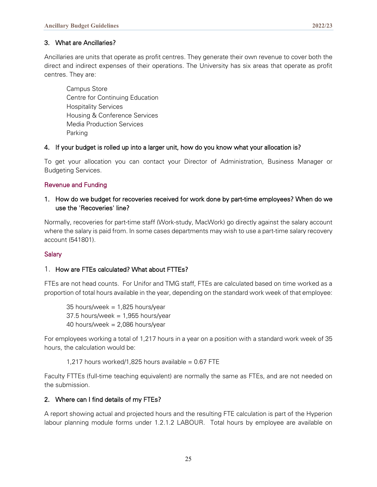#### 3. What are Ancillaries?

Ancillaries are units that operate as profit centres. They generate their own revenue to cover both the direct and indirect expenses of their operations. The University has six areas that operate as profit centres. They are:

Campus Store Centre for Continuing Education Hospitality Services Housing & Conference Services Media Production Services Parking

#### 4. If your budget is rolled up into a larger unit, how do you know what your allocation is?

To get your allocation you can contact your Director of Administration, Business Manager or Budgeting Services.

#### Revenue and Funding

#### 1. How do we budget for recoveries received for work done by part-time employees? When do we use the 'Recoveries' line?

Normally, recoveries for part-time staff (Work-study, MacWork) go directly against the salary account where the salary is paid from. In some cases departments may wish to use a part-time salary recovery account (541801).

#### **Salary**

#### 1. How are FTEs calculated? What about FTTEs?

FTEs are not head counts. For Unifor and TMG staff, FTEs are calculated based on time worked as a proportion of total hours available in the year, depending on the standard work week of that employee:

 $35$  hours/week = 1,825 hours/year  $37.5$  hours/week = 1,955 hours/year 40 hours/week =  $2,086$  hours/year

For employees working a total of 1,217 hours in a year on a position with a standard work week of 35 hours, the calculation would be:

1,217 hours worked/1,825 hours available =  $0.67$  FTE

Faculty FTTEs (full-time teaching equivalent) are normally the same as FTEs, and are not needed on the submission.

#### 2. Where can I find details of my FTEs?

A report showing actual and projected hours and the resulting FTE calculation is part of the Hyperion labour planning module forms under 1.2.1.2 LABOUR. Total hours by employee are available on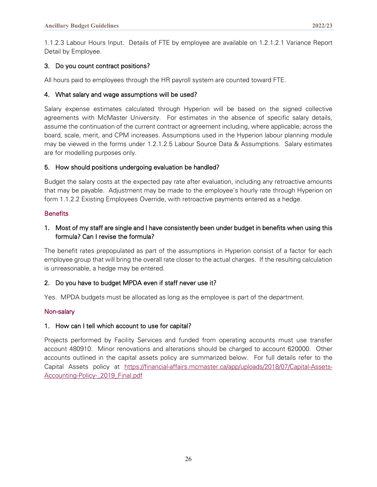1.1.2.3 Labour Hours Input. Details of FTE by employee are available on 1.2.1.2.1 Variance Report Detail by Employee.

#### 3. Do you count contract positions?

All hours paid to employees through the HR payroll system are counted toward FTE.

#### 4. What salary and wage assumptions will be used?

Salary expense estimates calculated through Hyperion will be based on the signed collective agreements with McMaster University. For estimates in the absence of specific salary details, assume the continuation of the current contract or agreement including, where applicable, across the board, scale, merit, and CPM increases. Assumptions used in the Hyperion labour planning module may be viewed in the forms under 1.2.1.2.5 Labour Source Data & Assumptions. Salary estimates are for modelling purposes only.

#### 5. How should positions undergoing evaluation be handled?

Budget the salary costs at the expected pay rate after evaluation, including any retroactive amounts that may be payable. Adjustment may be made to the employee's hourly rate through Hyperion on form 1.1.2.2 Existing Employees Override, with retroactive payments entered as a hedge.

#### **Benefits**

#### 1. Most of my staff are single and I have consistently been under budget in benefits when using this formula? Can I revise the formula?

The benefit rates prepopulated as part of the assumptions in Hyperion consist of a factor for each employee group that will bring the overall rate closer to the actual charges. If the resulting calculation is unreasonable, a hedge may be entered.

#### 2. Do you have to budget MPDA even if staff never use it?

Yes. MPDA budgets must be allocated as long as the employee is part of the department.

#### Non-salary

#### 1. How can I tell which account to use for capital?

Projects performed by Facility Services and funded from operating accounts must use transfer account 480910. Minor renovations and alterations should be charged to account 620000. Other accounts outlined in the capital assets policy are summarized below. For full details refer to the Capital Assets policy at [https://financial-affairs.mcmaster.ca/app/uploads/2018/07/Capital-Assets-](https://financial-affairs.mcmaster.ca/app/uploads/2018/07/Capital-Assets-Accounting-Policy-_2019_Final.pdf)[Accounting-Policy-\\_2019\\_Final.pdf](https://financial-affairs.mcmaster.ca/app/uploads/2018/07/Capital-Assets-Accounting-Policy-_2019_Final.pdf)